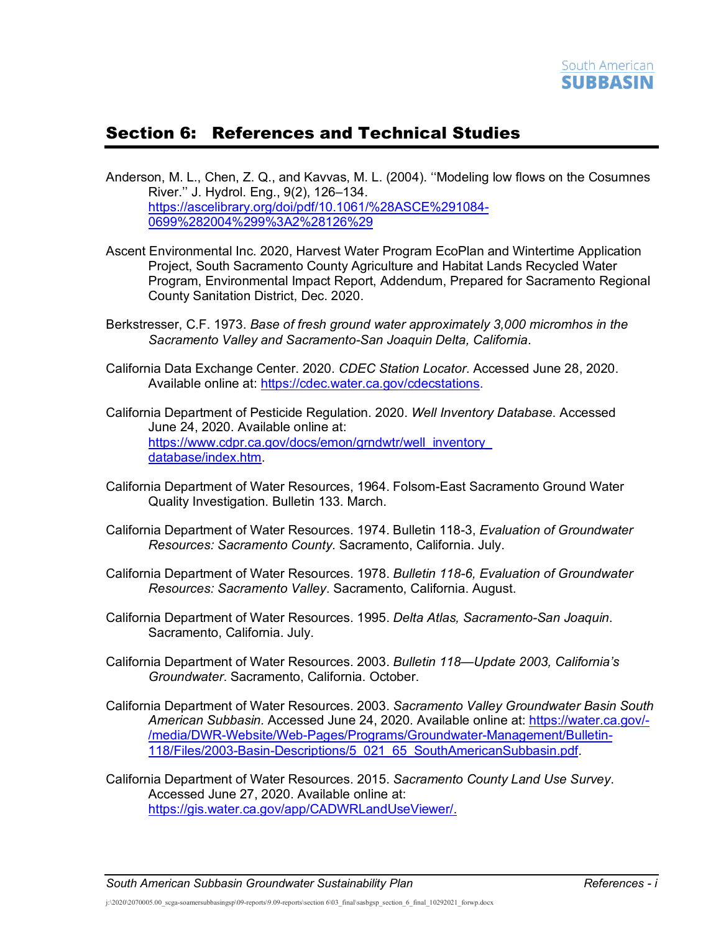

## Section 6: References and Technical Studies

- Anderson, M. L., Chen, Z. Q., and Kavvas, M. L. (2004). ''Modeling low flows on the Cosumnes River.'' J. Hydrol. Eng., 9(2), 126–134. [https://ascelibrary.org/doi/pdf/10.1061/%28ASCE%291084-](https://ascelibrary.org/doi/pdf/10.1061/%28ASCE%291084-0699%282004%299%3A2%28126%29) [0699%282004%299%3A2%28126%29](https://ascelibrary.org/doi/pdf/10.1061/%28ASCE%291084-0699%282004%299%3A2%28126%29)
- Ascent Environmental Inc. 2020, Harvest Water Program EcoPlan and Wintertime Application Project, South Sacramento County Agriculture and Habitat Lands Recycled Water Program, Environmental Impact Report, Addendum, Prepared for Sacramento Regional County Sanitation District, Dec. 2020.
- Berkstresser, C.F. 1973. *Base of fresh ground water approximately 3,000 micromhos in the Sacramento Valley and Sacramento-San Joaquin Delta, California*.
- California Data Exchange Center. 2020. *CDEC Station Locator*. Accessed June 28, 2020. Available online at: [https://cdec.water.ca.gov/cdecstations.](https://cdec.water.ca.gov/cdecstations)
- California Department of Pesticide Regulation. 2020. *Well Inventory Database*. Accessed June 24, 2020. Available online at: https://www.cdpr.ca.gov/docs/emon/grndwtr/well\_inventory [database/index.htm.](https://www.cdpr.ca.gov/docs/emon/grndwtr/well_inventory_database/index.htm)
- California Department of Water Resources, 1964. Folsom-East Sacramento Ground Water Quality Investigation. Bulletin 133. March.
- California Department of Water Resources. 1974. Bulletin 118-3, *Evaluation of Groundwater Resources: Sacramento County*. Sacramento, California. July.
- California Department of Water Resources. 1978. *Bulletin 118-6, Evaluation of Groundwater Resources: Sacramento Valley*. Sacramento, California. August.
- California Department of Water Resources. 1995. *Delta Atlas, Sacramento-San Joaquin*. Sacramento, California. July.
- California Department of Water Resources. 2003. *Bulletin 118—Update 2003, California's Groundwater*. Sacramento, California. October.
- California Department of Water Resources. 2003. *Sacramento Valley Groundwater Basin South American Subbasin.* Accessed June 24, 2020. Available online at: [https://water.ca.gov/-](https://water.ca.gov/-/media/DWR-Website/Web-Pages/Programs/Groundwater-Management/Bulletin-118/Files/2003-Basin-Descriptions/5_021_65_SouthAmericanSubbasin.pdf) [/media/DWR-Website/Web-Pages/Programs/Groundwater-Management/Bulletin-](https://water.ca.gov/-/media/DWR-Website/Web-Pages/Programs/Groundwater-Management/Bulletin-118/Files/2003-Basin-Descriptions/5_021_65_SouthAmericanSubbasin.pdf)[118/Files/2003-Basin-Descriptions/5\\_021\\_65\\_SouthAmericanSubbasin.pdf.](https://water.ca.gov/-/media/DWR-Website/Web-Pages/Programs/Groundwater-Management/Bulletin-118/Files/2003-Basin-Descriptions/5_021_65_SouthAmericanSubbasin.pdf)
- California Department of Water Resources. 2015. *Sacramento County Land Use Survey*. Accessed June 27, 2020. Available online at: [https://gis.water.ca.gov/app/CADWRLandUseViewer/.](https://gis.water.ca.gov/app/CADWRLandUseViewer/)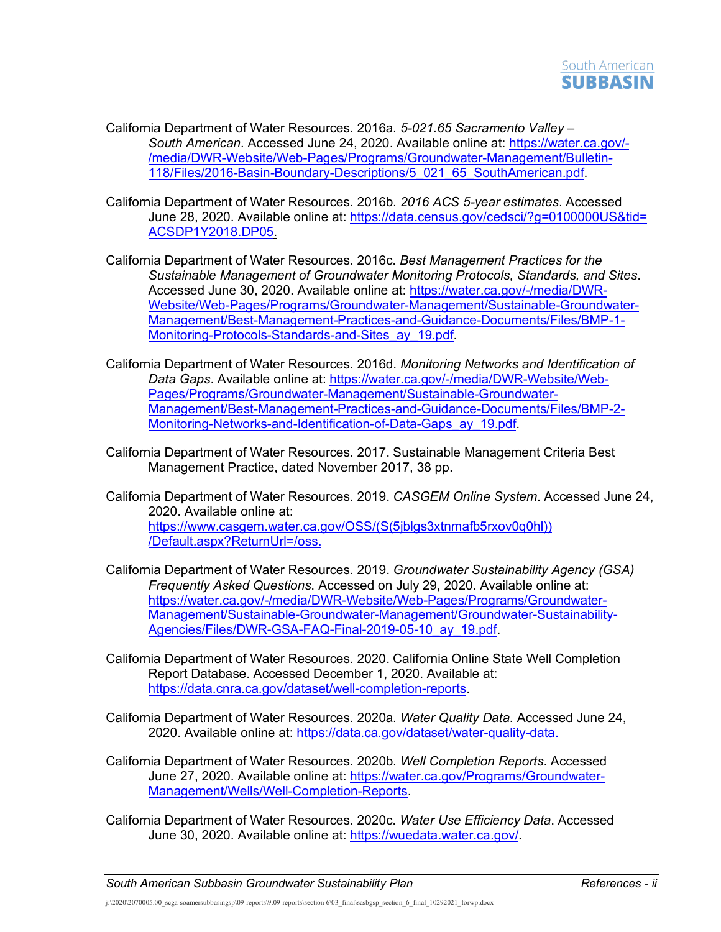

- California Department of Water Resources. 2016a. *5-021.65 Sacramento Valley – South American.* Accessed June 24, 2020. Available online at: [https://water.ca.gov/-](https://water.ca.gov/-/media/DWR-Website/Web-Pages/Programs/Groundwater-Management/Bulletin-118/Files/2016-Basin-Boundary-Descriptions/5_021_65_SouthAmerican.pdf) [/media/DWR-Website/Web-Pages/Programs/Groundwater-Management/Bulletin-](https://water.ca.gov/-/media/DWR-Website/Web-Pages/Programs/Groundwater-Management/Bulletin-118/Files/2016-Basin-Boundary-Descriptions/5_021_65_SouthAmerican.pdf)[118/Files/2016-Basin-Boundary-Descriptions/5\\_021\\_65\\_SouthAmerican.pdf.](https://water.ca.gov/-/media/DWR-Website/Web-Pages/Programs/Groundwater-Management/Bulletin-118/Files/2016-Basin-Boundary-Descriptions/5_021_65_SouthAmerican.pdf)
- California Department of Water Resources. 2016b. *2016 ACS 5-year estimates*. Accessed June 28, 2020. Available online at: [https://data.census.gov/cedsci/?g=0100000US&tid=](https://data.census.gov/cedsci/?g=0100000US&tid=ACSDP1Y2018.DP05) [ACSDP1Y2018.DP05.](https://data.census.gov/cedsci/?g=0100000US&tid=ACSDP1Y2018.DP05)
- California Department of Water Resources. 2016c. *Best Management Practices for the Sustainable Management of Groundwater Monitoring Protocols, Standards, and Sites*. Accessed June 30, 2020. Available online at: [https://water.ca.gov/-/media/DWR-](https://water.ca.gov/-/media/DWR-Website/Web-Pages/Programs/Groundwater-Management/Sustainable-Groundwater-Management/Best-Management-Practices-and-Guidance-Documents/Files/BMP-1-Monitoring-Protocols-Standards-and-Sites_ay_19.pdf)[Website/Web-Pages/Programs/Groundwater-Management/Sustainable-Groundwater-](https://water.ca.gov/-/media/DWR-Website/Web-Pages/Programs/Groundwater-Management/Sustainable-Groundwater-Management/Best-Management-Practices-and-Guidance-Documents/Files/BMP-1-Monitoring-Protocols-Standards-and-Sites_ay_19.pdf)[Management/Best-Management-Practices-and-Guidance-Documents/Files/BMP-1-](https://water.ca.gov/-/media/DWR-Website/Web-Pages/Programs/Groundwater-Management/Sustainable-Groundwater-Management/Best-Management-Practices-and-Guidance-Documents/Files/BMP-1-Monitoring-Protocols-Standards-and-Sites_ay_19.pdf) [Monitoring-Protocols-Standards-and-Sites\\_ay\\_19.pdf.](https://water.ca.gov/-/media/DWR-Website/Web-Pages/Programs/Groundwater-Management/Sustainable-Groundwater-Management/Best-Management-Practices-and-Guidance-Documents/Files/BMP-1-Monitoring-Protocols-Standards-and-Sites_ay_19.pdf)
- California Department of Water Resources. 2016d. *Monitoring Networks and Identification of Data Gaps*. Available online at: [https://water.ca.gov/-/media/DWR-Website/Web-](https://water.ca.gov/-/media/DWR-Website/Web-Pages/Programs/Groundwater-Management/Sustainable-Groundwater-Management/Best-Management-Practices-and-Guidance-Documents/Files/BMP-2-Monitoring-Networks-and-Identification-of-Data-Gaps_ay_19.pdf)[Pages/Programs/Groundwater-Management/Sustainable-Groundwater-](https://water.ca.gov/-/media/DWR-Website/Web-Pages/Programs/Groundwater-Management/Sustainable-Groundwater-Management/Best-Management-Practices-and-Guidance-Documents/Files/BMP-2-Monitoring-Networks-and-Identification-of-Data-Gaps_ay_19.pdf)[Management/Best-Management-Practices-and-Guidance-Documents/Files/BMP-2-](https://water.ca.gov/-/media/DWR-Website/Web-Pages/Programs/Groundwater-Management/Sustainable-Groundwater-Management/Best-Management-Practices-and-Guidance-Documents/Files/BMP-2-Monitoring-Networks-and-Identification-of-Data-Gaps_ay_19.pdf) [Monitoring-Networks-and-Identification-of-Data-Gaps\\_ay\\_19.pdf.](https://water.ca.gov/-/media/DWR-Website/Web-Pages/Programs/Groundwater-Management/Sustainable-Groundwater-Management/Best-Management-Practices-and-Guidance-Documents/Files/BMP-2-Monitoring-Networks-and-Identification-of-Data-Gaps_ay_19.pdf)
- California Department of Water Resources. 2017. Sustainable Management Criteria Best Management Practice, dated November 2017, 38 pp.
- California Department of Water Resources. 2019. *CASGEM Online System*. Accessed June 24, 2020. Available online at: [https://www.casgem.water.ca.gov/OSS/\(S\(5jblgs3xtnmafb5rxov0q0hl\)\)](https://www.casgem.water.ca.gov/OSS/(S(5jblgs3xtnmafb5rxov0q0hl))/Default.aspx?ReturnUrl=/oss) [/Default.aspx?ReturnUrl=/oss.](https://www.casgem.water.ca.gov/OSS/(S(5jblgs3xtnmafb5rxov0q0hl))/Default.aspx?ReturnUrl=/oss)
- California Department of Water Resources. 2019. *Groundwater Sustainability Agency (GSA) Frequently Asked Questions*. Accessed on July 29, 2020. Available online at: [https://water.ca.gov/-/media/DWR-Website/Web-Pages/Programs/Groundwater-](https://water.ca.gov/-/media/DWR-Website/Web-Pages/Programs/Groundwater-Management/Sustainable-Groundwater-Management/Groundwater-Sustainability-Agencies/Files/DWR-GSA-FAQ-Final-2019-05-10_ay_19.pdf)[Management/Sustainable-Groundwater-Management/Groundwater-Sustainability-](https://water.ca.gov/-/media/DWR-Website/Web-Pages/Programs/Groundwater-Management/Sustainable-Groundwater-Management/Groundwater-Sustainability-Agencies/Files/DWR-GSA-FAQ-Final-2019-05-10_ay_19.pdf)[Agencies/Files/DWR-GSA-FAQ-Final-2019-05-10\\_ay\\_19.pdf.](https://water.ca.gov/-/media/DWR-Website/Web-Pages/Programs/Groundwater-Management/Sustainable-Groundwater-Management/Groundwater-Sustainability-Agencies/Files/DWR-GSA-FAQ-Final-2019-05-10_ay_19.pdf)
- California Department of Water Resources. 2020. California Online State Well Completion Report Database. Accessed December 1, 2020. Available at: [https://data.cnra.ca.gov/dataset/well-completion-reports.](https://data.cnra.ca.gov/dataset/well-completion-reports)
- California Department of Water Resources. 2020a. *Water Quality Data*. Accessed June 24, 2020. Available online at: [https://data.ca.gov/dataset/water-quality-data.](https://data.ca.gov/dataset/water-quality-data)
- California Department of Water Resources. 2020b. *Well Completion Reports*. Accessed June 27, 2020. Available online at: [https://water.ca.gov/Programs/Groundwater-](https://water.ca.gov/Programs/Groundwater-Management/Wells/Well-Completion-Reports)[Management/Wells/Well-Completion-Reports.](https://water.ca.gov/Programs/Groundwater-Management/Wells/Well-Completion-Reports)
- California Department of Water Resources. 2020c. *Water Use Efficiency Data*. Accessed June 30, 2020. Available online at: [https://wuedata.water.ca.gov/.](https://wuedata.water.ca.gov/)

j:\2020\2070005.00\_scga-soamersubbasingsp\09-reports\9.09-reports\section 6\03\_final\sasbgsp\_section\_6\_final\_10292021\_forwp.docx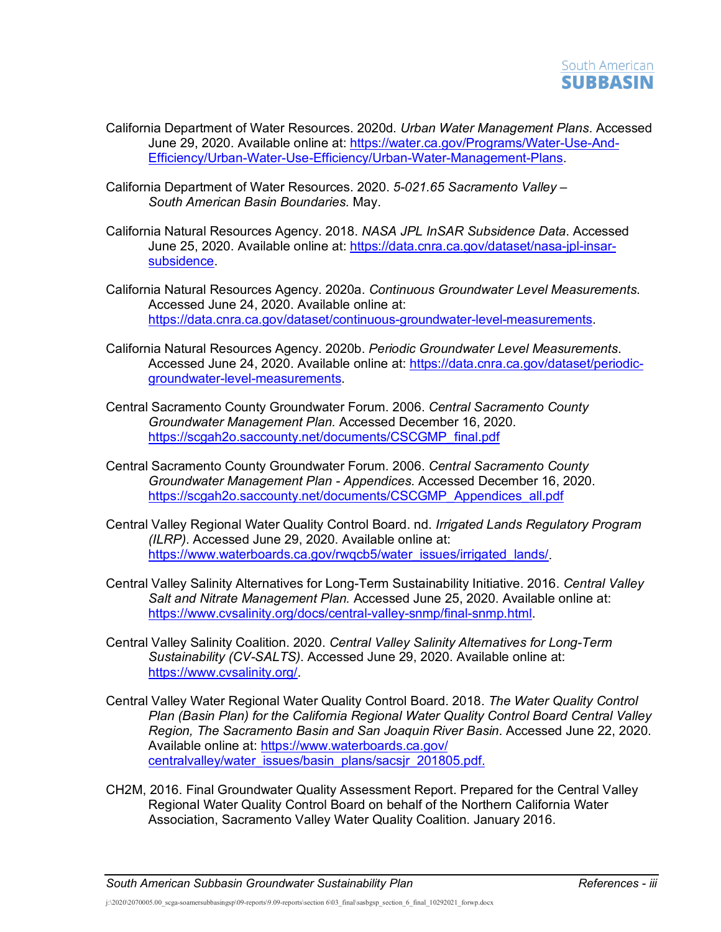

- California Department of Water Resources. 2020d. *Urban Water Management Plans*. Accessed June 29, 2020. Available online at: [https://water.ca.gov/Programs/Water-Use-And-](https://water.ca.gov/Programs/Water-Use-And-Efficiency/Urban-Water-Use-Efficiency/Urban-Water-Management-Plans)[Efficiency/Urban-Water-Use-Efficiency/Urban-Water-Management-Plans.](https://water.ca.gov/Programs/Water-Use-And-Efficiency/Urban-Water-Use-Efficiency/Urban-Water-Management-Plans)
- California Department of Water Resources. 2020. *5-021.65 Sacramento Valley – South American Basin Boundaries.* May.
- California Natural Resources Agency. 2018. *NASA JPL InSAR Subsidence Data*. Accessed June 25, 2020. Available online at: [https://data.cnra.ca.gov/dataset/nasa-jpl-insar](https://data.cnra.ca.gov/dataset/nasa-jpl-insar-subsidence)[subsidence.](https://data.cnra.ca.gov/dataset/nasa-jpl-insar-subsidence)
- California Natural Resources Agency. 2020a. *Continuous Groundwater Level Measurements*. Accessed June 24, 2020. Available online at: [https://data.cnra.ca.gov/dataset/continuous-groundwater-level-measurements.](https://data.cnra.ca.gov/dataset/continuous-groundwater-level-measurements)
- California Natural Resources Agency. 2020b. *Periodic Groundwater Level Measurements*. Accessed June 24, 2020. Available online at: [https://data.cnra.ca.gov/dataset/periodic](https://data.cnra.ca.gov/dataset/periodic-groundwater-level-measurements)[groundwater-level-measurements.](https://data.cnra.ca.gov/dataset/periodic-groundwater-level-measurements)
- Central Sacramento County Groundwater Forum. 2006. *Central Sacramento County Groundwater Management Plan.* Accessed December 16, 2020. [https://scgah2o.saccounty.net/documents/CSCGMP\\_final.pdf](https://scgah2o.saccounty.net/documents/CSCGMP_final.pdf)
- Central Sacramento County Groundwater Forum. 2006. *Central Sacramento County Groundwater Management Plan - Appendices.* Accessed December 16, 2020. [https://scgah2o.saccounty.net/documents/CSCGMP\\_Appendices\\_all.pdf](https://scgah2o.saccounty.net/documents/CSCGMP_Appendices_all.pdf)
- Central Valley Regional Water Quality Control Board. nd. *Irrigated Lands Regulatory Program (ILRP)*. Accessed June 29, 2020. Available online at: [https://www.waterboards.ca.gov/rwqcb5/water\\_issues/irrigated\\_lands/.](https://www.waterboards.ca.gov/rwqcb5/water_issues/irrigated_lands/)
- Central Valley Salinity Alternatives for Long-Term Sustainability Initiative. 2016. *Central Valley Salt and Nitrate Management Plan.* Accessed June 25, 2020. Available online at: [https://www.cvsalinity.org/docs/central-valley-snmp/final-snmp.html.](https://www.cvsalinity.org/docs/central-valley-snmp/final-snmp.html)
- Central Valley Salinity Coalition. 2020. *Central Valley Salinity Alternatives for Long-Term Sustainability (CV-SALTS)*. Accessed June 29, 2020. Available online at: [https://www.cvsalinity.org/.](https://www.cvsalinity.org/)
- Central Valley Water Regional Water Quality Control Board. 2018. *The Water Quality Control Plan (Basin Plan) for the California Regional Water Quality Control Board Central Valley Region, The Sacramento Basin and San Joaquin River Basin*. Accessed June 22, 2020. Available online at: [https://www.waterboards.ca.gov/](https://www.waterboards.ca.gov/centralvalley/water_issues/basin_plans/sacsjr_201805.pdf) [centralvalley/water\\_issues/basin\\_plans/sacsjr\\_201805.pdf.](https://www.waterboards.ca.gov/centralvalley/water_issues/basin_plans/sacsjr_201805.pdf)
- CH2M, 2016. Final Groundwater Quality Assessment Report. Prepared for the Central Valley Regional Water Quality Control Board on behalf of the Northern California Water Association, Sacramento Valley Water Quality Coalition. January 2016.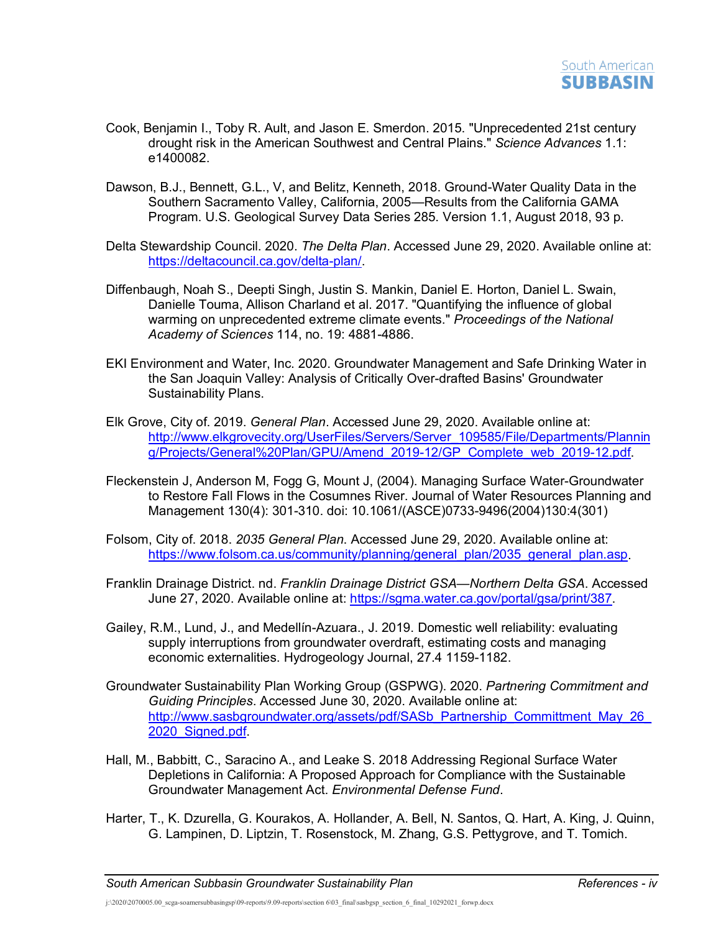- Cook, Benjamin I., Toby R. Ault, and Jason E. Smerdon. 2015. "Unprecedented 21st century drought risk in the American Southwest and Central Plains." *Science Advances* 1.1: e1400082.
- Dawson, B.J., Bennett, G.L., V, and Belitz, Kenneth, 2018. Ground-Water Quality Data in the Southern Sacramento Valley, California, 2005—Results from the California GAMA Program. U.S. Geological Survey Data Series 285. Version 1.1, August 2018, 93 p.
- Delta Stewardship Council. 2020. *The Delta Plan*. Accessed June 29, 2020. Available online at: [https://deltacouncil.ca.gov/delta-plan/.](https://deltacouncil.ca.gov/delta-plan/)
- Diffenbaugh, Noah S., Deepti Singh, Justin S. Mankin, Daniel E. Horton, Daniel L. Swain, Danielle Touma, Allison Charland et al. 2017. "Quantifying the influence of global warming on unprecedented extreme climate events." *Proceedings of the National Academy of Sciences* 114, no. 19: 4881-4886.
- EKI Environment and Water, Inc. 2020. Groundwater Management and Safe Drinking Water in the San Joaquin Valley: Analysis of Critically Over-drafted Basins' Groundwater Sustainability Plans.
- Elk Grove, City of. 2019. *General Plan*. Accessed June 29, 2020. Available online at: [http://www.elkgrovecity.org/UserFiles/Servers/Server\\_109585/File/Departments/Plannin](http://www.elkgrovecity.org/UserFiles/Servers/Server_109585/File/Departments/Planning/Projects/General%20Plan/GPU/Amend_2019-12/GP_Complete_web_2019-12.pdf) [g/Projects/General%20Plan/GPU/Amend\\_2019-12/GP\\_Complete\\_web\\_2019-12.pdf.](http://www.elkgrovecity.org/UserFiles/Servers/Server_109585/File/Departments/Planning/Projects/General%20Plan/GPU/Amend_2019-12/GP_Complete_web_2019-12.pdf)
- Fleckenstein J, Anderson M, Fogg G, Mount J, (2004). Managing Surface Water-Groundwater to Restore Fall Flows in the Cosumnes River. Journal of Water Resources Planning and Management 130(4): 301-310. doi: 10.1061/(ASCE)0733-9496(2004)130:4(301)
- Folsom, City of. 2018. *2035 General Plan*. Accessed June 29, 2020. Available online at: [https://www.folsom.ca.us/community/planning/general\\_plan/2035\\_general\\_plan.asp.](https://www.folsom.ca.us/community/planning/general_plan/2035_general_plan.asp)
- Franklin Drainage District. nd. *Franklin Drainage District GSA—Northern Delta GSA*. Accessed June 27, 2020. Available online at: [https://sgma.water.ca.gov/portal/gsa/print/387.](https://sgma.water.ca.gov/portal/gsa/print/387)
- Gailey, R.M., Lund, J., and Medellín-Azuara., J. 2019. Domestic well reliability: evaluating supply interruptions from groundwater overdraft, estimating costs and managing economic externalities. Hydrogeology Journal, 27.4 1159-1182.
- Groundwater Sustainability Plan Working Group (GSPWG). 2020. *Partnering Commitment and Guiding Principles*. Accessed June 30, 2020. Available online at: [http://www.sasbgroundwater.org/assets/pdf/SASb\\_Partnership\\_Committment\\_May\\_26\\_](http://www.sasbgroundwater.org/assets/pdf/SASb_Partnership_Committment_May_26_2020_Signed.pdf) [2020\\_Signed.pdf.](http://www.sasbgroundwater.org/assets/pdf/SASb_Partnership_Committment_May_26_2020_Signed.pdf)
- Hall, M., Babbitt, C., Saracino A., and Leake S. 2018 Addressing Regional Surface Water Depletions in California: A Proposed Approach for Compliance with the Sustainable Groundwater Management Act. *Environmental Defense Fund*.
- Harter, T., K. Dzurella, G. Kourakos, A. Hollander, A. Bell, N. Santos, Q. Hart, A. King, J. Quinn, G. Lampinen, D. Liptzin, T. Rosenstock, M. Zhang, G.S. Pettygrove, and T. Tomich.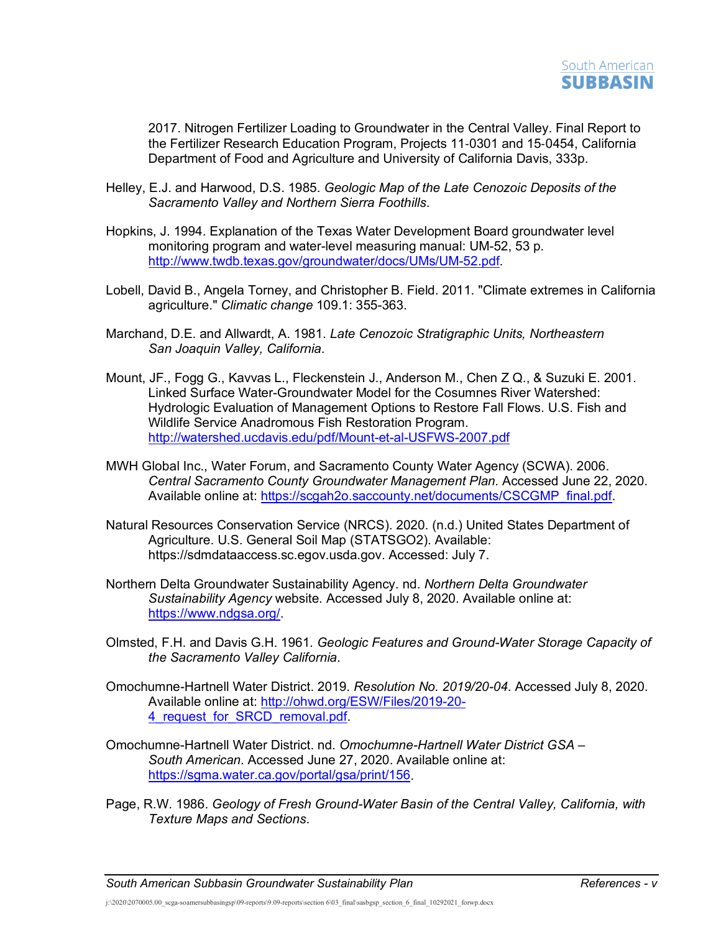

2017. Nitrogen Fertilizer Loading to Groundwater in the Central Valley. Final Report to the Fertilizer Research Education Program, Projects 11‐0301 and 15‐0454, California Department of Food and Agriculture and University of California Davis, 333p.

- Helley, E.J. and Harwood, D.S. 1985. *Geologic Map of the Late Cenozoic Deposits of the Sacramento Valley and Northern Sierra Foothills*.
- Hopkins, J. 1994. Explanation of the Texas Water Development Board groundwater level monitoring program and water-level measuring manual: UM-52, 53 p. [http://www.twdb.texas.gov/groundwater/docs/UMs/UM-52.pdf.](http://www.twdb.texas.gov/groundwater/docs/UMs/UM-52.pdf)
- Lobell, David B., Angela Torney, and Christopher B. Field. 2011. "Climate extremes in California agriculture." *Climatic change* 109.1: 355-363.
- Marchand, D.E. and Allwardt, A. 1981. *Late Cenozoic Stratigraphic Units, Northeastern San Joaquin Valley, California*.
- Mount, JF., Fogg G., Kavvas L., Fleckenstein J., Anderson M., Chen Z Q., & Suzuki E. 2001. Linked Surface Water-Groundwater Model for the Cosumnes River Watershed: Hydrologic Evaluation of Management Options to Restore Fall Flows. U.S. Fish and Wildlife Service Anadromous Fish Restoration Program. <http://watershed.ucdavis.edu/pdf/Mount-et-al-USFWS-2007.pdf>
- MWH Global Inc., Water Forum, and Sacramento County Water Agency (SCWA). 2006. *Central Sacramento County Groundwater Management Plan.* Accessed June 22, 2020. Available online at: [https://scgah2o.saccounty.net/documents/CSCGMP\\_final.pdf.](https://scgah2o.saccounty.net/documents/CSCGMP_final.pdf)
- Natural Resources Conservation Service (NRCS). 2020. (n.d.) United States Department of Agriculture. U.S. General Soil Map (STATSGO2). Available: https://sdmdataaccess.sc.egov.usda.gov. Accessed: July 7.
- Northern Delta Groundwater Sustainability Agency. nd. *Northern Delta Groundwater Sustainability Agency* website. Accessed July 8, 2020. Available online at: [https://www.ndgsa.org/.](https://www.ndgsa.org/)
- Olmsted, F.H. and Davis G.H. 1961. *Geologic Features and Ground-Water Storage Capacity of the Sacramento Valley California*.
- Omochumne-Hartnell Water District. 2019. *Resolution No. 2019/20-04*. Accessed July 8, 2020. Available online at: [http://ohwd.org/ESW/Files/2019-20-](http://ohwd.org/ESW/Files/2019-20-4_request_for_SRCD_removal.pdf) 4 request for SRCD removal.pdf.
- Omochumne-Hartnell Water District. nd. *Omochumne-Hartnell Water District GSA – South American*. Accessed June 27, 2020. Available online at: [https://sgma.water.ca.gov/portal/gsa/print/156.](https://sgma.water.ca.gov/portal/gsa/print/156)
- Page, R.W. 1986. *Geology of Fresh Ground-Water Basin of the Central Valley, California, with Texture Maps and Sections*.

j:\2020\2070005.00\_scga-soamersubbasingsp\09-reports\9.09-reports\section 6\03\_final\sasbgsp\_section\_6\_final\_10292021\_forwp.docx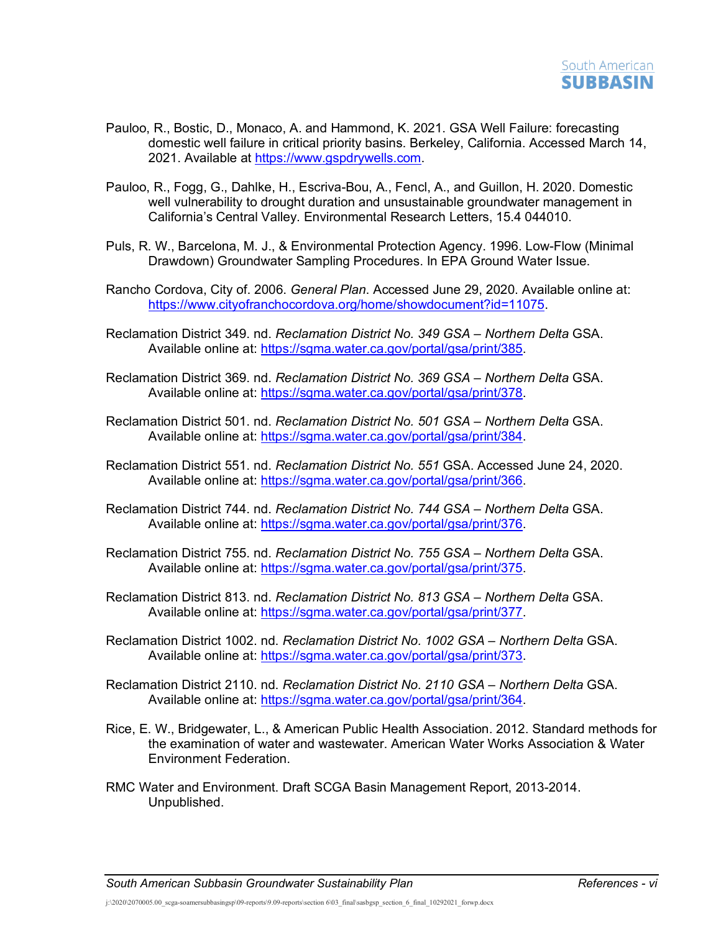

- Pauloo, R., Bostic, D., Monaco, A. and Hammond, K. 2021. GSA Well Failure: forecasting domestic well failure in critical priority basins. Berkeley, California. Accessed March 14, 2021. Available at [https://www.gspdrywells.com.](https://www.gspdrywells.com/)
- Pauloo, R., Fogg, G., Dahlke, H., Escriva-Bou, A., Fencl, A., and Guillon, H. 2020. Domestic well vulnerability to drought duration and unsustainable groundwater management in California's Central Valley. Environmental Research Letters, 15.4 044010.
- Puls, R. W., Barcelona, M. J., & Environmental Protection Agency. 1996. Low-Flow (Minimal Drawdown) Groundwater Sampling Procedures. In EPA Ground Water Issue.
- Rancho Cordova, City of. 2006. *General Plan*. Accessed June 29, 2020. Available online at: [https://www.cityofranchocordova.org/home/showdocument?id=11075.](https://www.cityofranchocordova.org/home/showdocument?id=11075)
- Reclamation District 349. nd. *Reclamation District No. 349 GSA – Northern Delta* GSA. Available online at: [https://sgma.water.ca.gov/portal/gsa/print/385.](https://sgma.water.ca.gov/portal/gsa/print/385)
- Reclamation District 369. nd. *Reclamation District No. 369 GSA – Northern Delta* GSA. Available online at: [https://sgma.water.ca.gov/portal/gsa/print/378.](https://sgma.water.ca.gov/portal/gsa/print/378)
- Reclamation District 501. nd. *Reclamation District No. 501 GSA – Northern Delta* GSA. Available online at: [https://sgma.water.ca.gov/portal/gsa/print/384.](https://sgma.water.ca.gov/portal/gsa/print/384)
- Reclamation District 551. nd. *Reclamation District No. 551* GSA. Accessed June 24, 2020. Available online at: [https://sgma.water.ca.gov/portal/gsa/print/366.](https://sgma.water.ca.gov/portal/gsa/print/366)
- Reclamation District 744. nd. *Reclamation District No. 744 GSA – Northern Delta* GSA. Available online at: [https://sgma.water.ca.gov/portal/gsa/print/376.](https://sgma.water.ca.gov/portal/gsa/print/376)
- Reclamation District 755. nd. *Reclamation District No. 755 GSA – Northern Delta* GSA. Available online at: [https://sgma.water.ca.gov/portal/gsa/print/375.](https://sgma.water.ca.gov/portal/gsa/print/375)
- Reclamation District 813. nd. *Reclamation District No. 813 GSA – Northern Delta* GSA. Available online at: [https://sgma.water.ca.gov/portal/gsa/print/377.](https://sgma.water.ca.gov/portal/gsa/print/377)
- Reclamation District 1002. nd. *Reclamation District No. 1002 GSA – Northern Delta* GSA. Available online at: [https://sgma.water.ca.gov/portal/gsa/print/373.](https://sgma.water.ca.gov/portal/gsa/print/373)
- Reclamation District 2110. nd. *Reclamation District No. 2110 GSA – Northern Delta* GSA. Available online at: [https://sgma.water.ca.gov/portal/gsa/print/364.](https://sgma.water.ca.gov/portal/gsa/print/364)
- Rice, E. W., Bridgewater, L., & American Public Health Association. 2012. Standard methods for the examination of water and wastewater. American Water Works Association & Water Environment Federation.
- RMC Water and Environment. Draft SCGA Basin Management Report, 2013-2014. Unpublished.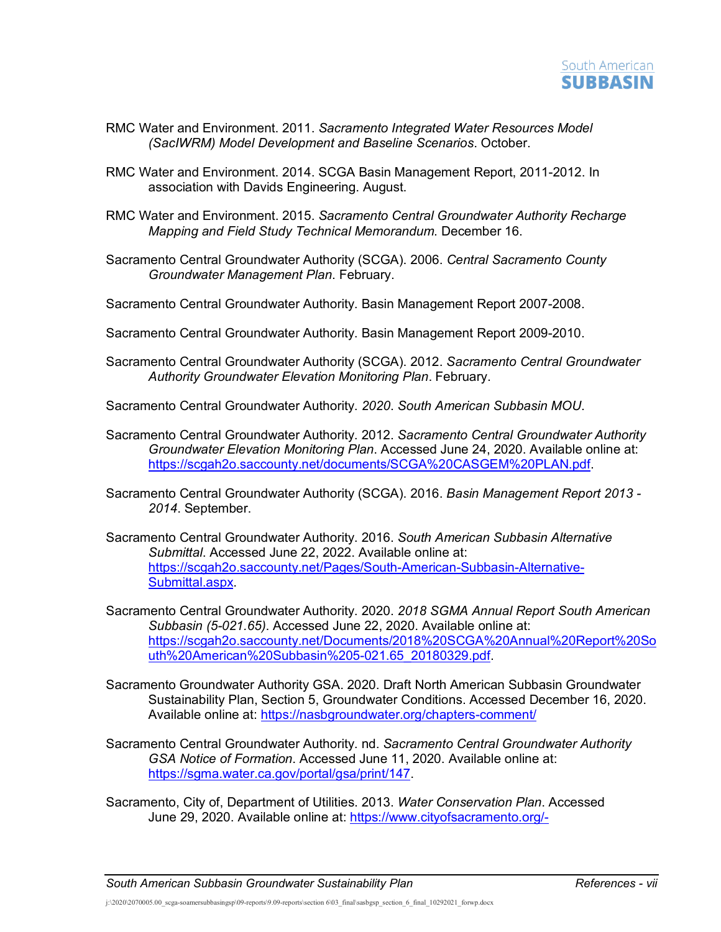

- RMC Water and Environment. 2011. *Sacramento Integrated Water Resources Model (SacIWRM) Model Development and Baseline Scenarios*. October.
- RMC Water and Environment. 2014. SCGA Basin Management Report, 2011-2012. In association with Davids Engineering. August.
- RMC Water and Environment. 2015. *Sacramento Central Groundwater Authority Recharge Mapping and Field Study Technical Memorandum*. December 16.
- Sacramento Central Groundwater Authority (SCGA). 2006. *Central Sacramento County Groundwater Management Plan*. February.
- Sacramento Central Groundwater Authority. Basin Management Report 2007-2008.
- Sacramento Central Groundwater Authority. Basin Management Report 2009-2010.
- Sacramento Central Groundwater Authority (SCGA). 2012. *Sacramento Central Groundwater Authority Groundwater Elevation Monitoring Plan*. February.
- Sacramento Central Groundwater Authority. *2020*. *South American Subbasin MOU*.
- Sacramento Central Groundwater Authority. 2012. *Sacramento Central Groundwater Authority Groundwater Elevation Monitoring Plan*. Accessed June 24, 2020. Available online at: [https://scgah2o.saccounty.net/documents/SCGA%20CASGEM%20PLAN.pdf.](https://scgah2o.saccounty.net/documents/SCGA%20CASGEM%20PLAN.pdf)
- Sacramento Central Groundwater Authority (SCGA). 2016. *Basin Management Report 2013 - 2014*. September.
- Sacramento Central Groundwater Authority. 2016. *South American Subbasin Alternative Submittal*. Accessed June 22, 2022. Available online at: [https://scgah2o.saccounty.net/Pages/South-American-Subbasin-Alternative-](https://scgah2o.saccounty.net/Pages/South-American-Subbasin-Alternative-Submittal.aspx)[Submittal.aspx.](https://scgah2o.saccounty.net/Pages/South-American-Subbasin-Alternative-Submittal.aspx)
- Sacramento Central Groundwater Authority. 2020. *2018 SGMA Annual Report South American Subbasin (5-021.65)*. Accessed June 22, 2020. Available online at: [https://scgah2o.saccounty.net/Documents/2018%20SCGA%20Annual%20Report%20So](https://scgah2o.saccounty.net/Documents/2018%20SCGA%20Annual%20Report%20South%20American%20Subbasin%205-021.65_20180329.pdf) [uth%20American%20Subbasin%205-021.65\\_20180329.pdf.](https://scgah2o.saccounty.net/Documents/2018%20SCGA%20Annual%20Report%20South%20American%20Subbasin%205-021.65_20180329.pdf)
- Sacramento Groundwater Authority GSA. 2020. Draft North American Subbasin Groundwater Sustainability Plan, Section 5, Groundwater Conditions. Accessed December 16, 2020. Available online at:<https://nasbgroundwater.org/chapters-comment/>
- Sacramento Central Groundwater Authority. nd. *Sacramento Central Groundwater Authority GSA Notice of Formation*. Accessed June 11, 2020. Available online at: [https://sgma.water.ca.gov/portal/gsa/print/147.](https://sgma.water.ca.gov/portal/gsa/print/147)
- Sacramento, City of, Department of Utilities. 2013. *Water Conservation Plan*. Accessed June 29, 2020. Available online at: [https://www.cityofsacramento.org/-](https://www.cityofsacramento.org/-/media/Corporate/Files/DOU/Reports/Water_Conservation-Plan-City_of_Sac-Final.pdf?la=en)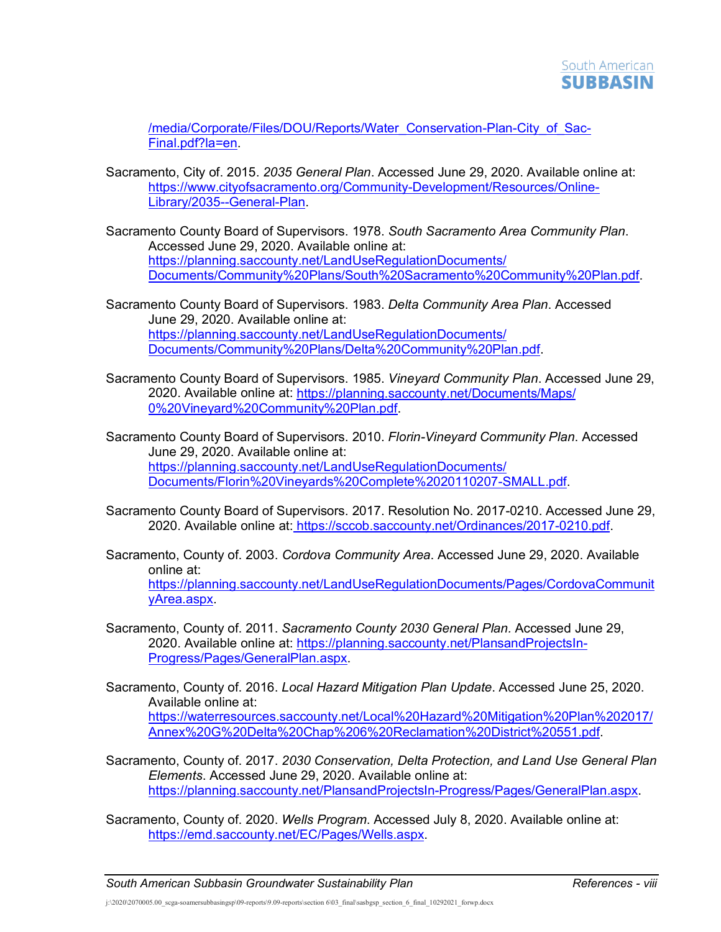

[/media/Corporate/Files/DOU/Reports/Water\\_Conservation-Plan-City\\_of\\_Sac-](https://www.cityofsacramento.org/-/media/Corporate/Files/DOU/Reports/Water_Conservation-Plan-City_of_Sac-Final.pdf?la=en)[Final.pdf?la=en.](https://www.cityofsacramento.org/-/media/Corporate/Files/DOU/Reports/Water_Conservation-Plan-City_of_Sac-Final.pdf?la=en)

- Sacramento, City of. 2015. *2035 General Plan*. Accessed June 29, 2020. Available online at: [https://www.cityofsacramento.org/Community-Development/Resources/Online-](https://www.cityofsacramento.org/Community-Development/Resources/Online-Library/2035--General-Plan)[Library/2035--General-Plan.](https://www.cityofsacramento.org/Community-Development/Resources/Online-Library/2035--General-Plan)
- Sacramento County Board of Supervisors. 1978. *South Sacramento Area Community Plan*. Accessed June 29, 2020. Available online at: [https://planning.saccounty.net/LandUseRegulationDocuments/](https://planning.saccounty.net/LandUseRegulationDocuments/Documents/Community%20Plans/South%20Sacramento%20Community%20Plan.pdf) [Documents/Community%20Plans/South%20Sacramento%20Community%20Plan.pdf.](https://planning.saccounty.net/LandUseRegulationDocuments/Documents/Community%20Plans/South%20Sacramento%20Community%20Plan.pdf)
- Sacramento County Board of Supervisors. 1983. *Delta Community Area Plan*. Accessed June 29, 2020. Available online at: [https://planning.saccounty.net/LandUseRegulationDocuments/](https://planning.saccounty.net/LandUseRegulationDocuments/Documents/Community%20Plans/Delta%20Community%20Plan.pdf) [Documents/Community%20Plans/Delta%20Community%20Plan.pdf.](https://planning.saccounty.net/LandUseRegulationDocuments/Documents/Community%20Plans/Delta%20Community%20Plan.pdf)
- Sacramento County Board of Supervisors. 1985. *Vineyard Community Plan*. Accessed June 29, 2020. Available online at: [https://planning.saccounty.net/Documents/Maps/](https://planning.saccounty.net/Documents/Maps/0%20Vineyard%20Community%20Plan.pdf) [0%20Vineyard%20Community%20Plan.pdf.](https://planning.saccounty.net/Documents/Maps/0%20Vineyard%20Community%20Plan.pdf)
- Sacramento County Board of Supervisors. 2010. *Florin-Vineyard Community Plan*. Accessed June 29, 2020. Available online at: [https://planning.saccounty.net/LandUseRegulationDocuments/](https://planning.saccounty.net/LandUseRegulationDocuments/Documents/Florin%20Vineyards%20Complete%2020110207-SMALL.pdf) [Documents/Florin%20Vineyards%20Complete%2020110207-SMALL.pdf.](https://planning.saccounty.net/LandUseRegulationDocuments/Documents/Florin%20Vineyards%20Complete%2020110207-SMALL.pdf)
- Sacramento County Board of Supervisors. 2017. Resolution No. 2017-0210. Accessed June 29, 2020. Available online at: [https://sccob.saccounty.net/Ordinances/2017-0210.pdf.](https://sccob.saccounty.net/Ordinances/2017-0210.pdf)
- Sacramento, County of. 2003. *Cordova Community Area*. Accessed June 29, 2020. Available online at: [https://planning.saccounty.net/LandUseRegulationDocuments/Pages/CordovaCommunit](https://planning.saccounty.net/LandUseRegulationDocuments/Pages/CordovaCommunityArea.aspx) [yArea.aspx.](https://planning.saccounty.net/LandUseRegulationDocuments/Pages/CordovaCommunityArea.aspx)
- Sacramento, County of. 2011. *Sacramento County 2030 General Plan.* Accessed June 29, 2020. Available online at: [https://planning.saccounty.net/PlansandProjectsIn-](https://planning.saccounty.net/PlansandProjectsIn-Progress/Pages/GeneralPlan.aspx)[Progress/Pages/GeneralPlan.aspx.](https://planning.saccounty.net/PlansandProjectsIn-Progress/Pages/GeneralPlan.aspx)
- Sacramento, County of. 2016. *Local Hazard Mitigation Plan Update*. Accessed June 25, 2020. Available online at: [https://waterresources.saccounty.net/Local%20Hazard%20Mitigation%20Plan%202017/](https://waterresources.saccounty.net/Local%20Hazard%20Mitigation%20Plan%202017/Annex%20G%20Delta%20Chap%206%20Reclamation%20District%20551.pdf) [Annex%20G%20Delta%20Chap%206%20Reclamation%20District%20551.pdf.](https://waterresources.saccounty.net/Local%20Hazard%20Mitigation%20Plan%202017/Annex%20G%20Delta%20Chap%206%20Reclamation%20District%20551.pdf)
- Sacramento, County of. 2017. *2030 Conservation, Delta Protection, and Land Use General Plan Elements*. Accessed June 29, 2020. Available online at: [https://planning.saccounty.net/PlansandProjectsIn-Progress/Pages/GeneralPlan.aspx.](https://planning.saccounty.net/PlansandProjectsIn-Progress/Pages/GeneralPlan.aspx)
- Sacramento, County of. 2020. *Wells Program*. Accessed July 8, 2020. Available online at: [https://emd.saccounty.net/EC/Pages/Wells.aspx.](https://emd.saccounty.net/EC/Pages/Wells.aspx)

*South American Subbasin Groundwater Sustainability Plan References - viii*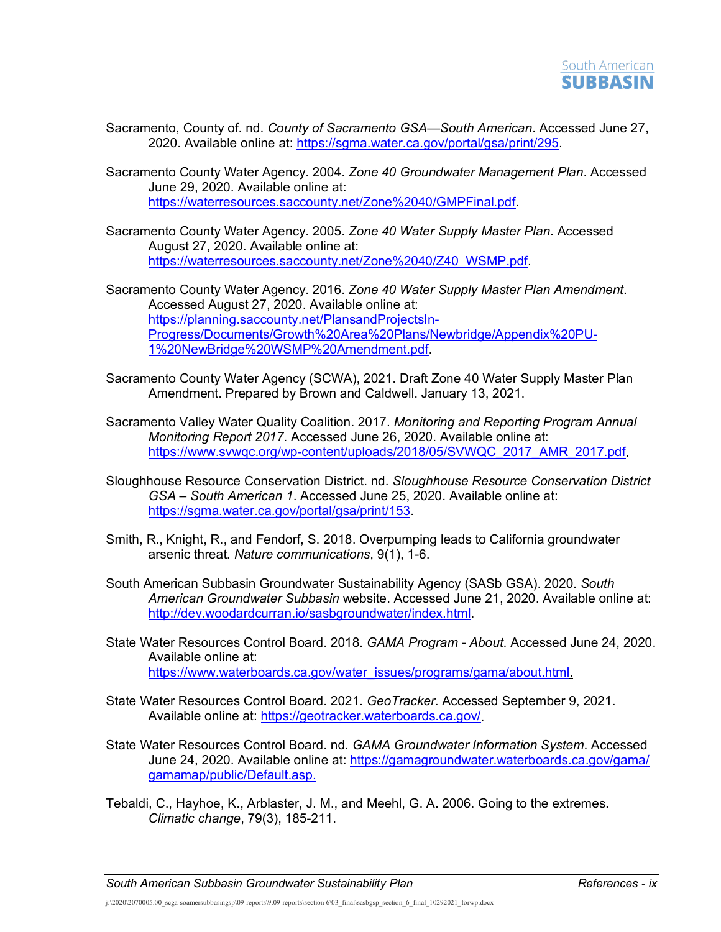- Sacramento, County of. nd. *County of Sacramento GSA—South American*. Accessed June 27, 2020. Available online at: [https://sgma.water.ca.gov/portal/gsa/print/295.](https://sgma.water.ca.gov/portal/gsa/print/295)
- Sacramento County Water Agency. 2004. *Zone 40 Groundwater Management Plan*. Accessed June 29, 2020. Available online at: [https://waterresources.saccounty.net/Zone%2040/GMPFinal.pdf.](https://waterresources.saccounty.net/Zone%2040/GMPFinal.pdf)
- Sacramento County Water Agency. 2005. *Zone 40 Water Supply Master Plan*. Accessed August 27, 2020. Available online at: [https://waterresources.saccounty.net/Zone%2040/Z40\\_WSMP.pdf.](https://waterresources.saccounty.net/Zone%2040/Z40_WSMP.pdf)
- Sacramento County Water Agency. 2016. *Zone 40 Water Supply Master Plan Amendment*. Accessed August 27, 2020. Available online at: [https://planning.saccounty.net/PlansandProjectsIn-](https://planning.saccounty.net/PlansandProjectsIn-Progress/Documents/Growth%20Area%20Plans/Newbridge/Appendix%20PU-1%20NewBridge%20WSMP%20Amendment.pdf)[Progress/Documents/Growth%20Area%20Plans/Newbridge/Appendix%20PU-](https://planning.saccounty.net/PlansandProjectsIn-Progress/Documents/Growth%20Area%20Plans/Newbridge/Appendix%20PU-1%20NewBridge%20WSMP%20Amendment.pdf)[1%20NewBridge%20WSMP%20Amendment.pdf.](https://planning.saccounty.net/PlansandProjectsIn-Progress/Documents/Growth%20Area%20Plans/Newbridge/Appendix%20PU-1%20NewBridge%20WSMP%20Amendment.pdf)
- Sacramento County Water Agency (SCWA), 2021. Draft Zone 40 Water Supply Master Plan Amendment. Prepared by Brown and Caldwell. January 13, 2021.
- Sacramento Valley Water Quality Coalition. 2017. *Monitoring and Reporting Program Annual Monitoring Report 2017.* Accessed June 26, 2020. Available online at: [https://www.svwqc.org/wp-content/uploads/2018/05/SVWQC\\_2017\\_AMR\\_2017.pdf.](https://www.svwqc.org/wp-content/uploads/2018/05/SVWQC_2017_AMR_2017.pdf)
- Sloughhouse Resource Conservation District. nd. *Sloughhouse Resource Conservation District GSA – South American 1*. Accessed June 25, 2020. Available online at: [https://sgma.water.ca.gov/portal/gsa/print/153.](https://sgma.water.ca.gov/portal/gsa/print/153)
- Smith, R., Knight, R., and Fendorf, S. 2018. Overpumping leads to California groundwater arsenic threat. *Nature communications*, 9(1), 1-6.
- South American Subbasin Groundwater Sustainability Agency (SASb GSA). 2020. *South American Groundwater Subbasin* website. Accessed June 21, 2020. Available online at: [http://dev.woodardcurran.io/sasbgroundwater/index.html.](http://dev.woodardcurran.io/sasbgroundwater/index.html)
- State Water Resources Control Board. 2018. *GAMA Program - About*. Accessed June 24, 2020. Available online at: [https://www.waterboards.ca.gov/water\\_issues/programs/gama/about.html.](https://www.waterboards.ca.gov/water_issues/programs/gama/about.html)
- State Water Resources Control Board. 2021. *GeoTracker*. Accessed September 9, 2021. Available online at: [https://geotracker.waterboards.ca.gov/.](https://geotracker.waterboards.ca.gov/)
- State Water Resources Control Board. nd. *GAMA Groundwater Information System*. Accessed June 24, 2020. Available online at: [https://gamagroundwater.waterboards.ca.gov/gama/](https://gamagroundwater.waterboards.ca.gov/gama/gamamap/public/Default.asp) [gamamap/public/Default.asp.](https://gamagroundwater.waterboards.ca.gov/gama/gamamap/public/Default.asp)
- Tebaldi, C., Hayhoe, K., Arblaster, J. M., and Meehl, G. A. 2006. Going to the extremes. *Climatic change*, 79(3), 185-211.